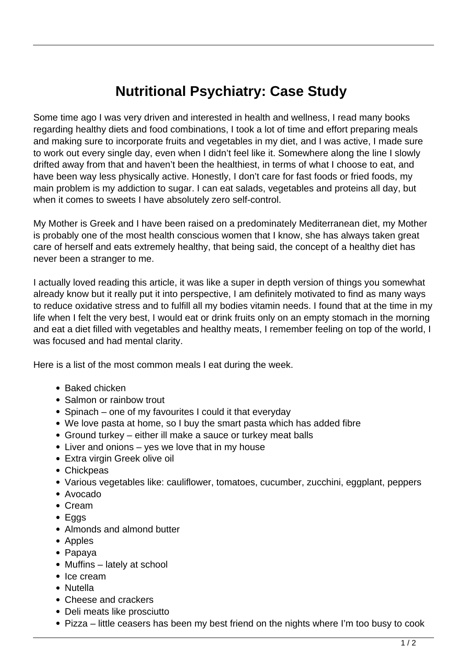## **Nutritional Psychiatry: Case Study**

Some time ago I was very driven and interested in health and wellness, I read many books regarding healthy diets and food combinations, I took a lot of time and effort preparing meals and making sure to incorporate fruits and vegetables in my diet, and I was active, I made sure to work out every single day, even when I didn't feel like it. Somewhere along the line I slowly drifted away from that and haven't been the healthiest, in terms of what I choose to eat, and have been way less physically active. Honestly, I don't care for fast foods or fried foods, my main problem is my addiction to sugar. I can eat salads, vegetables and proteins all day, but when it comes to sweets I have absolutely zero self-control.

My Mother is Greek and I have been raised on a predominately Mediterranean diet, my Mother is probably one of the most health conscious women that I know, she has always taken great care of herself and eats extremely healthy, that being said, the concept of a healthy diet has never been a stranger to me.

I actually loved reading this article, it was like a super in depth version of things you somewhat already know but it really put it into perspective, I am definitely motivated to find as many ways to reduce oxidative stress and to fulfill all my bodies vitamin needs. I found that at the time in my life when I felt the very best, I would eat or drink fruits only on an empty stomach in the morning and eat a diet filled with vegetables and healthy meats, I remember feeling on top of the world, I was focused and had mental clarity.

Here is a list of the most common meals I eat during the week.

- Baked chicken
- Salmon or rainbow trout
- Spinach one of my favourites I could it that everyday
- We love pasta at home, so I buy the smart pasta which has added fibre
- Ground turkey either ill make a sauce or turkey meat balls
- Liver and onions yes we love that in my house
- Extra virgin Greek olive oil
- Chickpeas
- Various vegetables like: cauliflower, tomatoes, cucumber, zucchini, eggplant, peppers
- Avocado
- Cream
- Eggs
- Almonds and almond butter
- Apples
- Papaya
- Muffins lately at school
- Ice cream
- Nutella
- Cheese and crackers
- Deli meats like prosciutto
- Pizza little ceasers has been my best friend on the nights where I'm too busy to cook